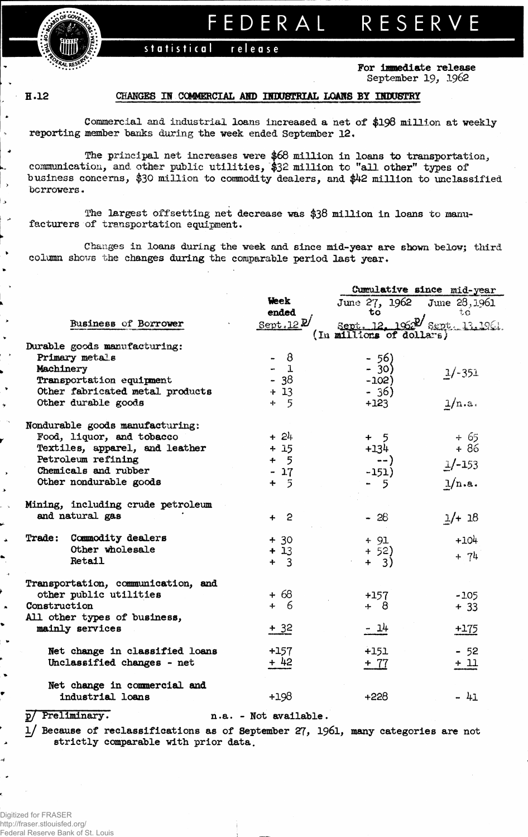statistical release

FEDERAL RESERVE

For immediate release September 19, 1962

H.12

 $\bullet$ 

 $\rightarrow$ 

د ا

د

 $\blacktriangleright$ 

## CHANGES IN COMMERCIAL AND INDUSTRIAL LOANS BY INDUSTRY

Commercial and industrial loans increased a net of \$198 million at weekly reporting member banks during the week ended September 12.

The principal net increases were  $66$  million in loans to transportation, communication, and other public utilities,  $32$  million to "all other" types of business concerns, \$30 million to commodity dealers, and \$42 million to unclassified borrowers.

The largest offsetting net decrease was \$38 million in loans to manufacturers of transportation equipment.

Changes in loans during the week and since mid-year are shown below; third column shows the changes during the comparable period last year.

|                                 |                                                  |                             | Cumulative since mid-year                                 |                |  |  |  |  |
|---------------------------------|--------------------------------------------------|-----------------------------|-----------------------------------------------------------|----------------|--|--|--|--|
|                                 |                                                  | <b>Week</b>                 | June 27, 1962 June 28, 1961                               |                |  |  |  |  |
|                                 |                                                  | ended                       | to                                                        | tΩ             |  |  |  |  |
|                                 | Business of Borrower                             | Sept. 12 $\mathcal{U}$      | Sept. 12, 1962 Sept. 13, 1961<br>(In millions of dollars) |                |  |  |  |  |
|                                 | Durable goods manufacturing:                     |                             |                                                           |                |  |  |  |  |
|                                 | Primary metals                                   | 8                           | $-56)$                                                    |                |  |  |  |  |
| Machinery                       |                                                  | 1                           | $-30)$                                                    |                |  |  |  |  |
|                                 | Transportation equipment                         | 38<br>$\tilde{\phantom{a}}$ | $-102)$                                                   | $1/-351$       |  |  |  |  |
| Other fabricated metal products |                                                  | $+13$                       | $-36)$                                                    |                |  |  |  |  |
|                                 | Other durable goods                              | $+5$                        | $+123$                                                    | 1/n.a.         |  |  |  |  |
|                                 | Nondurable goods manufacturing:                  |                             |                                                           |                |  |  |  |  |
|                                 | Food, liquor, and tobacco                        | $+24$                       | $+ 5$                                                     |                |  |  |  |  |
|                                 | Textiles, apparel, and leather                   | $+15$                       | $+134$                                                    | $+ 65$<br>+ 86 |  |  |  |  |
|                                 | Petroleum refining                               | $+ 5$                       | -- )                                                      | $1/-153$       |  |  |  |  |
|                                 | Chemicals and rubber                             | $-17$                       | -151)                                                     |                |  |  |  |  |
|                                 | Other nondurable goods                           | $+ 5$                       | 5                                                         | 1/n.a.         |  |  |  |  |
|                                 | Mining, including crude petroleum                |                             |                                                           |                |  |  |  |  |
|                                 | and natural gas                                  | $+2$                        | $-28$                                                     | $1/+18$        |  |  |  |  |
|                                 | Trade: Commodity dealers                         | $+30$                       | $+91$                                                     | $+104$         |  |  |  |  |
|                                 | Other wholesale                                  | $+13$                       | $+ 52)$                                                   | $+ 74$         |  |  |  |  |
|                                 | Retail                                           | $\overline{3}$<br>÷         | $+ 3)$                                                    |                |  |  |  |  |
|                                 | Transportation, communication, and               |                             |                                                           |                |  |  |  |  |
|                                 | other public utilities                           | $+68$                       | $+157$                                                    | $-105$         |  |  |  |  |
| Construction                    |                                                  | + 6                         | $+8$                                                      | $+33$          |  |  |  |  |
| All other types of business,    |                                                  |                             |                                                           |                |  |  |  |  |
|                                 | mainly services                                  | $+32$                       | $-14$                                                     | $+175$         |  |  |  |  |
|                                 | Net change in classified loans                   | $+157$                      | $+151$                                                    | $-52$          |  |  |  |  |
|                                 | Unclassified changes - net                       | $+42$                       | $+ 77$                                                    | $+11$          |  |  |  |  |
|                                 | Net change in commercial and<br>industrial loans | $+198$                      | +228                                                      | - 41           |  |  |  |  |
|                                 |                                                  |                             |                                                           |                |  |  |  |  |

p/ Preliminary.

۷

n.a. - Not available.

1/ Because of reclassifications as of September 27, 1961, many categories are not strictly comparable with prior data.

Digitized for FRASER http://fraser.stlouisfed.org/ Federal Reserve Bank of St. Louis